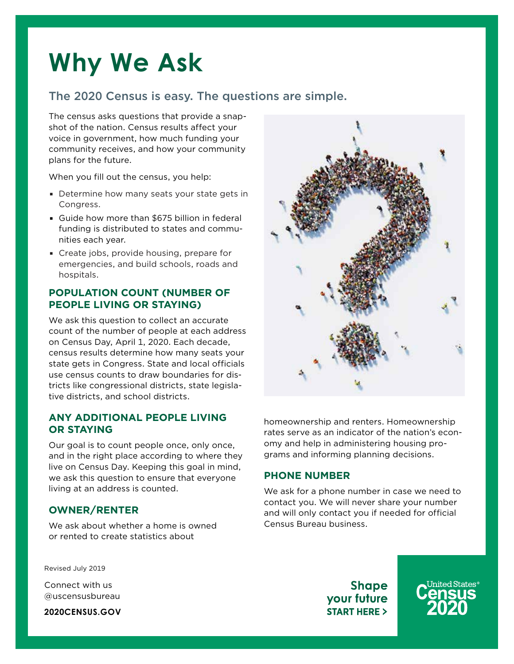## **Why We Ask**

## The 2020 Census is easy. The questions are simple.

The census asks questions that provide a snapshot of the nation. Census results affect your voice in government, how much funding your community receives, and how your community plans for the future.

When you fill out the census, you help:

- Determine how many seats your state gets in Congress.
- Guide how more than \$675 billion in federal funding is distributed to states and communities each year.
- Create jobs, provide housing, prepare for emergencies, and build schools, roads and hospitals.

#### **POPULATION COUNT (NUMBER OF PEOPLE LIVING OR STAYING)**

We ask this question to collect an accurate count of the number of people at each address on Census Day, April 1, 2020. Each decade, census results determine how many seats your state gets in Congress. State and local officials use census counts to draw boundaries for districts like congressional districts, state legislative districts, and school districts.

#### **ANY ADDITIONAL PEOPLE LIVING OR STAYING**

Our goal is to count people once, only once, and in the right place according to where they live on Census Day. Keeping this goal in mind, we ask this question to ensure that everyone living at an address is counted.

#### **OWNER/RENTER**

We ask about whether a home is owned or rented to create statistics about



homeownership and renters. Homeownership rates serve as an indicator of the nation's economy and help in administering housing programs and informing planning decisions.

#### **PHONE NUMBER**

We ask for a phone number in case we need to contact you. We will never share your number and will only contact you if needed for official Census Bureau business.

Revised July 2019

Connect with us @uscensusbureau

**2020CENSUS.GOV**

**Shape** your future **START HERE >**